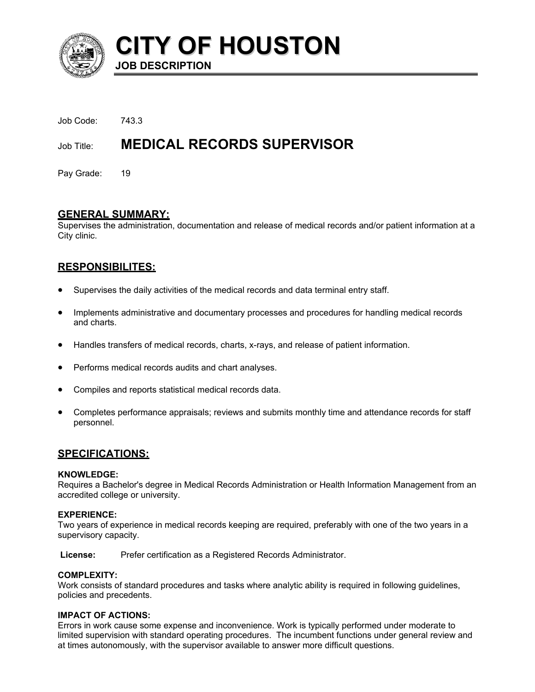

**CITY OF HOUSTON JOB DESCRIPTION** 

| Job Title: | <b>MEDICAL RECORDS SUPERVISOR</b> |
|------------|-----------------------------------|
| Job Code:  | 743.3                             |

Pay Grade: 19

## **GENERAL SUMMARY:**

Supervises the administration, documentation and release of medical records and/or patient information at a City clinic.

# **RESPONSIBILITES:**

- Supervises the daily activities of the medical records and data terminal entry staff.
- Implements administrative and documentary processes and procedures for handling medical records and charts.
- Handles transfers of medical records, charts, x-rays, and release of patient information.
- Performs medical records audits and chart analyses.
- Compiles and reports statistical medical records data.
- Completes performance appraisals; reviews and submits monthly time and attendance records for staff personnel.

## **SPECIFICATIONS:**

#### **KNOWLEDGE:**

Requires a Bachelor's degree in Medical Records Administration or Health Information Management from an accredited college or university.

## **EXPERIENCE:**

Two years of experience in medical records keeping are required, preferably with one of the two years in a supervisory capacity.

**License:** Prefer certification as a Registered Records Administrator.

## **COMPLEXITY:**

Work consists of standard procedures and tasks where analytic ability is required in following guidelines, policies and precedents.

## **IMPACT OF ACTIONS:**

Errors in work cause some expense and inconvenience. Work is typically performed under moderate to limited supervision with standard operating procedures. The incumbent functions under general review and at times autonomously, with the supervisor available to answer more difficult questions.